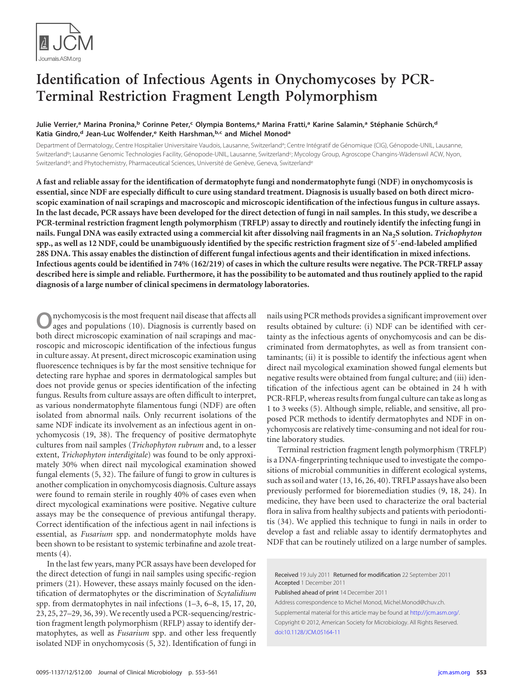

# **Identification of Infectious Agents in Onychomycoses by PCR-Terminal Restriction Fragment Length Polymorphism**

## **Julie Verrier, <sup>a</sup> Marina Pronina, <sup>b</sup> Corinne Peter, <sup>c</sup> Olympia Bontems, <sup>a</sup> Marina Fratti, <sup>a</sup> Karine Salamin, <sup>a</sup> Stéphanie Schürch, d Katia Gindro, <sup>d</sup> Jean-Luc Wolfender, <sup>e</sup> Keith Harshman, b,c and Michel Monoda**

Department of Dermatology, Centre Hospitalier Universitaire Vaudois, Lausanne, Switzerland<sup>a</sup>; Centre Intégratif de Génomique (CIG), Génopode-UNIL, Lausanne, Switzerland<sup>b</sup>; Lausanne Genomic Technologies Facility, Génopode-UNIL, Lausanne, Switzerland<sup>c</sup>; Mycology Group, Agroscope Changins-Wädenswil ACW, Nyon, Switzerland<sup>d</sup>; and Phytochemistry, Pharmaceutical Sciences, Université de Genève, Geneva, Switzerland<sup>e</sup>

**A fast and reliable assay for the identification of dermatophyte fungi and nondermatophyte fungi (NDF) in onychomycosis is essential, since NDF are especially difficult to cure using standard treatment. Diagnosis is usually based on both direct microscopic examination of nail scrapings and macroscopic and microscopic identification of the infectious fungus in culture assays. In the last decade, PCR assays have been developed for the direct detection of fungi in nail samples. In this study, we describe a PCR-terminal restriction fragment length polymorphism (TRFLP) assay to directly and routinely identify the infecting fungi in** nails. Fungal DNA was easily extracted using a commercial kit after dissolving nail fragments in an Na<sub>2</sub>S solution. Trichophyton spp., as well as 12 NDF, could be unambiguously identified by the specific restriction fragment size of 5'-end-labeled amplified **28S DNA. This assay enables the distinction of different fungal infectious agents and their identification in mixed infections. Infectious agents could be identified in 74% (162/219) of cases in which the culture results were negative. The PCR-TRFLP assay described here is simple and reliable. Furthermore, it has the possibility to be automated and thus routinely applied to the rapid diagnosis of a large number of clinical specimens in dermatology laboratories.**

**O**nychomycosis is the most frequent nail disease that affects all ages and populations [\(10\)](#page-8-0). Diagnosis is currently based on both direct microscopic examination of nail scrapings and macroscopic and microscopic identification of the infectious fungus in culture assay. At present, direct microscopic examination using fluorescence techniques is by far the most sensitive technique for detecting rare hyphae and spores in dermatological samples but does not provide genus or species identification of the infecting fungus. Results from culture assays are often difficult to interpret, as various nondermatophyte filamentous fungi (NDF) are often isolated from abnormal nails. Only recurrent isolations of the same NDF indicate its involvement as an infectious agent in onychomycosis [\(19,](#page-8-1) [38\)](#page-8-2). The frequency of positive dermatophyte cultures from nail samples (*Trichophyton rubrum* and, to a lesser extent, *Trichophyton interdigitale*) was found to be only approximately 30% when direct nail mycological examination showed fungal elements [\(5,](#page-8-3) [32\)](#page-8-4). The failure of fungi to grow in cultures is another complication in onychomycosis diagnosis. Culture assays were found to remain sterile in roughly 40% of cases even when direct mycological examinations were positive. Negative culture assays may be the consequence of previous antifungal therapy. Correct identification of the infectious agent in nail infections is essential, as *Fusarium* spp. and nondermatophyte molds have been shown to be resistant to systemic terbinafine and azole treatments [\(4\)](#page-8-5).

In the last few years, many PCR assays have been developed for the direct detection of fungi in nail samples using specific-region primers [\(21\)](#page-8-6). However, these assays mainly focused on the identification of dermatophytes or the discrimination of *Scytalidium* spp. from dermatophytes in nail infections [\(1–](#page-8-7)[3,](#page-8-8) [6](#page-8-9)[–8,](#page-8-10) [15,](#page-8-11) [17,](#page-8-12) [20,](#page-8-13) [23,](#page-8-14) [25,](#page-8-15) [27](#page-8-16)[–29,](#page-8-17) [36,](#page-8-18) [39\)](#page-8-19).We recently used a PCR-sequencing/restriction fragment length polymorphism (RFLP) assay to identify dermatophytes, as well as *Fusarium* spp. and other less frequently isolated NDF in onychomycosis [\(5,](#page-8-3) [32\)](#page-8-4). Identification of fungi in nails using PCR methods provides a significant improvement over results obtained by culture: (i) NDF can be identified with certainty as the infectious agents of onychomycosis and can be discriminated from dermatophytes, as well as from transient contaminants; (ii) it is possible to identify the infectious agent when direct nail mycological examination showed fungal elements but negative results were obtained from fungal culture; and (iii) identification of the infectious agent can be obtained in 24 h with PCR-RFLP, whereas results from fungal culture can take as long as 1 to 3 weeks [\(5\)](#page-8-3). Although simple, reliable, and sensitive, all proposed PCR methods to identify dermatophytes and NDF in onychomycosis are relatively time-consuming and not ideal for routine laboratory studies.

Terminal restriction fragment length polymorphism (TRFLP) is a DNA-fingerprinting technique used to investigate the compositions of microbial communities in different ecological systems, such as soil and water [\(13,](#page-8-20) [16,](#page-8-21) [26,](#page-8-22) [40\)](#page-8-23). TRFLP assays have also been previously performed for bioremediation studies [\(9,](#page-8-24) [18,](#page-8-25) [24\)](#page-8-26). In medicine, they have been used to characterize the oral bacterial flora in saliva from healthy subjects and patients with periodontitis [\(34\)](#page-8-27). We applied this technique to fungi in nails in order to develop a fast and reliable assay to identify dermatophytes and NDF that can be routinely utilized on a large number of samples.

Published ahead of print 14 December 2011

Address correspondence to Michel Monod, Michel.Monod@chuv.ch.

Supplemental material for this article may be found at http://jcm.asm.org/. Copyright © 2012, American Society for Microbiology. All Rights Reserved. [doi:10.1128/JCM.05164-11](http://dx.doi.org/10.1128/JCM.05164-11)

Received 19 July 2011 Returned for modification 22 September 2011 Accepted 1 December 2011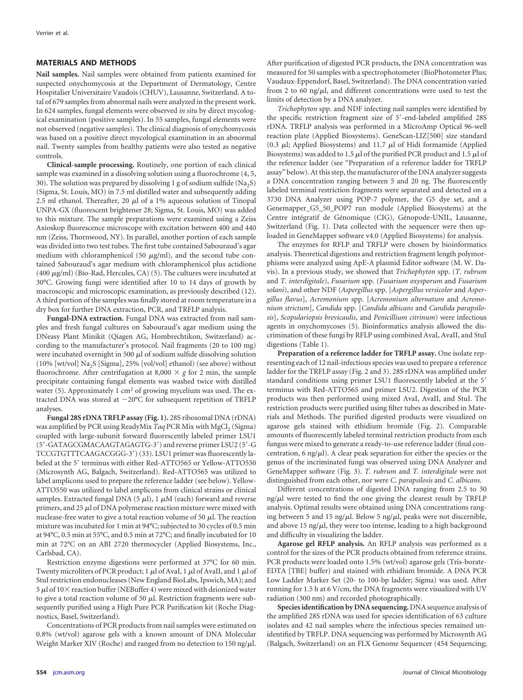### **MATERIALS AND METHODS**

**Nail samples.** Nail samples were obtained from patients examined for suspected onychomycosis at the Department of Dermatology, Centre Hospitalier Universitaire Vaudois (CHUV), Lausanne, Switzerland. A total of 679 samples from abnormal nails were analyzed in the present work. In 624 samples, fungal elements were observed *in situ* by direct mycological examination (positive samples). In 55 samples, fungal elements were not observed (negative samples). The clinical diagnosis of onychomycosis was based on a positive direct mycological examination in an abnormal nail. Twenty samples from healthy patients were also tested as negative controls.

**Clinical-sample processing.** Routinely, one portion of each clinical sample was examined in a dissolving solution using a fluorochrome [\(4,](#page-8-5) [5,](#page-8-3) [30\)](#page-8-28). The solution was prepared by dissolving 1 g of sodium sulfide ( $\text{Na}_2\text{S}$ ) (Sigma, St. Louis, MO) in 7.5 ml distilled water and subsequently adding 2.5 ml ethanol. Thereafter, 20  $\mu$ l of a 1% aqueous solution of Tinopal UNPA-GX (fluorescent brightener 28; Sigma, St. Louis, MO) was added to this mixture. The sample preparations were examined using a Zeiss Axioskop fluorescence microscope with excitation between 400 and 440 nm (Zeiss, Thornwood, NY). In parallel, another portion of each sample was divided into two test tubes. The first tube contained Sabouraud's agar medium with chloramphenicol (50  $\mu$ g/ml), and the second tube contained Sabouraud's agar medium with chloramphenicol plus actidione (400  $\mu$ g/ml) (Bio-Rad, Hercules, CA) [\(5\)](#page-8-3). The cultures were incubated at 30°C. Growing fungi were identified after 10 to 14 days of growth by macroscopic and microscopic examination, as previously described [\(12\)](#page-8-29). A third portion of the samples was finally stored at room temperature in a dry box for further DNA extraction, PCR, and TRFLP analysis.

**Fungal-DNA extraction.** Fungal DNA was extracted from nail samples and fresh fungal cultures on Sabouraud's agar medium using the DNeasy Plant Minikit (Qiagen AG, Hombrechtikon, Switzerland) according to the manufacturer's protocol. Nail fragments (20 to 100 mg) were incubated overnight in 500  $\mu$ l of sodium sulfide dissolving solution (10% [wt/vol] Na<sub>2</sub>S [Sigma], 25% [vol/vol] ethanol) (see above) without fluorochrome. After centrifugation at 8,000  $\times$  g for 2 min, the sample precipitate containing fungal elements was washed twice with distilled water [\(5\)](#page-8-3). Approximately 1 cm<sup>2</sup> of growing mycelium was used. The extracted DNA was stored at -20°C for subsequent repetition of TRFLP analyses.

**Fungal 28S rDNA TRFLP assay [\(Fig. 1\)](#page-2-0).** 28S ribosomal DNA (rDNA) was amplified by PCR using ReadyMix *Taq* PCR Mix with MgCl<sub>2</sub> (Sigma) coupled with large-subunit forward fluorescently labeled primer LSU1 (5'-GATAGCGMACAAGTAGAGTG-3') and reverse primer LSU2 (5'-G TCCGTGTTTCAAGACGGG-3') [\(33\)](#page-8-30). LSU1 primer was fluorescently labeled at the 5' terminus with either Red-ATTO565 or Yellow-ATTO550 (Microsynth AG, Balgach, Switzerland). Red-ATTO565 was utilized to label amplicons used to prepare the reference ladder (see below). Yellow-ATTO550 was utilized to label amplicons from clinical strains or clinical samples. Extracted fungal DNA (5  $\mu$ l), 1  $\mu$ M (each) forward and reverse primers, and 25  $\mu$ l of DNA polymerase reaction mixture were mixed with nuclease-free water to give a total reaction volume of 50  $\mu$ l. The reaction mixture was incubated for 1 min at 94°C; subjected to 30 cycles of 0.5 min at 94°C, 0.5 min at 55°C, and 0.5 min at 72°C; and finally incubated for 10 min at 72°C on an ABI 2720 thermocycler (Applied Biosystems, Inc., Carlsbad, CA).

Restriction enzyme digestions were performed at 37°C for 60 min. Twenty microliters of PCR product; 1  $\mu$ l of AvaI, 1  $\mu$ l of AvaII, and 1  $\mu$ l of StuI restriction endonucleases (New England BioLabs, Ipswich, MA); and 5  $\mu$ l of 10 $\times$  reaction buffer (NEBuffer 4) were mixed with deionized water to give a total reaction volume of 50  $\mu$ l. Restriction fragments were subsequently purified using a High Pure PCR Purification kit (Roche Diagnostics, Basel, Switzerland).

Concentrations of PCR products from nail samples were estimated on 0.8% (wt/vol) agarose gels with a known amount of DNA Molecular Weight Marker XIV (Roche) and ranged from no detection to  $150 \text{ ng}/\mu\text{l}$ . After purification of digested PCR products, the DNA concentration was measured for 50 samples with a spectrophotometer (BioPhotometer Plus; Vaudaux-Eppendorf, Basel, Switzerland). The DNA concentration varied from 2 to 60 ng/ $\mu$ l, and different concentrations were used to test the limits of detection by a DNA analyzer.

*Trichophyton* spp. and NDF infecting nail samples were identified by the specific restriction fragment size of 5'-end-labeled amplified 28S rDNA. TRFLP analysis was performed in a MicroAmp Optical 96-well reaction plate (Applied Biosystems). GeneScan-LIZ[500] size standard (0.3  $\mu$ l; Applied Biosystems) and 11.7  $\mu$ l of Hidi formamide (Applied Biosystems) was added to 1.5  $\mu$  of the purified PCR product and 1.5  $\mu$  of the reference ladder (see "Preparation of a reference ladder for TRFLP assay" below). At this step, the manufacturer of the DNA analyzer suggests a DNA concentration ranging between 5 and 20 ng. The fluorescently labeled terminal restriction fragments were separated and detected on a 3730 DNA Analyzer using POP-7 polymer, the G5 dye set, and a Genemapper\_G5\_50\_POP7 run module (Applied Biosystems) at the Centre intégratif de Génomique (CIG), Génopode-UNIL, Lausanne, Switzerland [\(Fig. 1\)](#page-2-0). Data collected with the sequencer were then uploaded in GeneMapper software v4.0 (Applied Biosystems) for analysis.

The enzymes for RFLP and TRFLP were chosen by bioinformatics analysis. Theoretical digestions and restriction fragment length polymorphisms were analyzed using ApE-A plasmid Editor software (M. W. Davis). In a previous study, we showed that *Trichophyton* spp. (*T. rubrum* and *T. interdigitale*), *Fusarium* spp. (*Fusarium oxysporum* and *Fusarium solani*), and other NDF (*Aspergillus* spp. [*Aspergillus versicolor* and *Aspergillus flavus*], *Acremonium* spp. [*Acremonium alternatum* and *Acremonium strictum*], *Candida* spp. [*Candida albicans* and *Candida parapsilosis*], *Scopulariopsis brevicaulis*, and *Penicillium citrinum*) were infectious agents in onychomycoses [\(5\)](#page-8-3). Bioinformatics analysis allowed the discrimination of these fungi by RFLP using combined AvaI, AvaII, and StuI digestions [\(Table 1\)](#page-2-1).

**Preparation of a reference ladder for TRFLP assay.** One isolate representing each of 12 nail-infectious species was used to prepare a reference ladder for the TRFLP assay [\(Fig. 2](#page-2-2) and 3). 28S rDNA was amplified under standard conditions using primer LSU1 fluorescently labeled at the 5' terminus with Red-ATTO565 and primer LSU2. Digestion of the PCR products was then performed using mixed AvaI, AvaII, and StuI. The restriction products were purified using filter tubes as described in Materials and Methods. The purified digested products were visualized on agarose gels stained with ethidium bromide [\(Fig. 2\)](#page-2-2). Comparable amounts of fluorescently labeled terminal restriction products from each fungus were mixed to generate a ready-to-use reference ladder (final concentration, 6 ng/ $\mu$ l). A clear peak separation for either the species or the genus of the incriminated fungi was observed using DNA Analyzer and GeneMapper software [\(Fig. 3\)](#page-3-0). *T. rubrum* and *T. interdigitale* were not distinguished from each other, nor were *C. parapsilosis* and *C. albicans*.

Different concentrations of digested DNA ranging from 2.5 to 30  $\frac{mg}{\mu}$  were tested to find the one giving the clearest result by TRFLP analysis. Optimal results were obtained using DNA concentrations ranging between 5 and 15 ng/ $\mu$ l. Below 5 ng/ $\mu$ l, peaks were not discernible, and above 15 ng/ $\mu$ l, they were too intense, leading to a high background and difficulty in visualizing the ladder.

**Agarose gel RFLP analysis.** An RFLP analysis was performed as a control for the sizes of the PCR products obtained from reference strains. PCR products were loaded onto 1.5% (wt/vol) agarose gels (Tris-borate-EDTA [TBE] buffer) and stained with ethidium bromide. A DNA PCR Low Ladder Marker Set (20- to 100-bp ladder; Sigma) was used. After running for 1.5 h at 6 V/cm, the DNA fragments were visualized with UV radiation (300 nm) and recorded photographically.

**Species identification by DNA sequencing.** DNA sequence analysis of the amplified 28S rDNA was used for species identification of 63 culture isolates and 42 nail samples where the infectious species remained unidentified by TRFLP. DNA sequencing was performed by Microsynth AG (Balgach, Switzerland) on an FLX Genome Sequencer (454 Sequencing;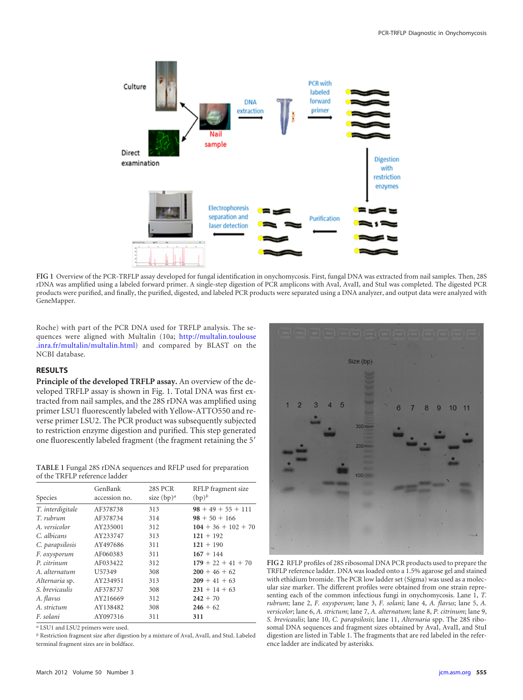

<span id="page-2-0"></span>**FIG 1** Overview of the PCR-TRFLP assay developed for fungal identification in onychomycosis. First, fungal DNA was extracted from nail samples. Then, 28S rDNA was amplified using a labeled forward primer. A single-step digestion of PCR amplicons with AvaI, AvaII, and StuI was completed. The digested PCR products were purified, and finally, the purified, digested, and labeled PCR products were separated using a DNA analyzer, and output data were analyzed with GeneMapper.

Roche) with part of the PCR DNA used for TRFLP analysis. The sequences were aligned with Multalin [\(10a;](#page-8-31) http://multalin.toulouse .inra.fr/multalin/multalin.html) and compared by BLAST on the NCBI database.

## **RESULTS**

**Principle of the developed TRFLP assay.** An overview of the developed TRFLP assay is shown in [Fig. 1.](#page-2-0) Total DNA was first extracted from nail samples, and the 28S rDNA was amplified using primer LSU1 fluorescently labeled with Yellow-ATTO550 and reverse primer LSU2. The PCR product was subsequently subjected to restriction enzyme digestion and purified. This step generated one fluorescently labeled fragment (the fragment retaining the 5<sup>'</sup>

<span id="page-2-1"></span>**TABLE 1** Fungal 28S rDNA sequences and RFLP used for preparation of the TRFLP reference ladder

| Species          | GenBank<br>accession no. | 28S PCR<br>size $(bp)^a$ | RFLP fragment size<br>$(bp)^b$ |
|------------------|--------------------------|--------------------------|--------------------------------|
| T. interdigitale | AF378738                 | 313                      | $98 + 49 + 55 + 111$           |
| T. rubrum        | AF378734                 | 314                      | $98 + 50 + 166$                |
| A. versicolor    | AY235001                 | 312                      | $104 + 36 + 102 + 70$          |
| C. albicans      | AY233747                 | 313                      | $121 + 192$                    |
| C. parapsilosis  | AY497686                 | 311                      | $121 + 190$                    |
| F. oxysporum     | AF060383                 | 311                      | $167 + 144$                    |
| P. citrinum      | AF033422                 | 312                      | $179 + 22 + 41 + 70$           |
| A. alternatum    | U57349                   | 308                      | $200 + 46 + 62$                |
| Alternaria sp.   | AY234951                 | 313                      | $209 + 41 + 63$                |
| S. brevicaulis   | AF378737                 | 308                      | $231 + 14 + 63$                |
| A. flavus        | AY216669                 | 312                      | $242 + 70$                     |
| A. strictum      | AY138482                 | 308                      | $246 + 62$                     |
| F. solani        | AY097316                 | 311                      | 311                            |

<span id="page-2-2"></span>*a* LSU1 and LSU2 primers were used.

*b* Restriction fragment size after digestion by a mixture of AvaI, AvaII, and StuI. Labeled terminal fragment sizes are in boldface.



**FIG 2** RFLP profiles of 28S ribosomal DNA PCR products used to prepare the TRFLP reference ladder. DNA was loaded onto a 1.5% agarose gel and stained with ethidium bromide. The PCR low ladder set (Sigma) was used as a molecular size marker. The different profiles were obtained from one strain representing each of the common infectious fungi in onychomycosis. Lane 1, *T. rubrum*; lane 2, *F. oxysporum*; lane 3, *F. solani*; lane 4, *A. flavus*; lane 5, *A. versicolor*; lane 6, *A. strictum*; lane 7, *A. alternatum*; lane 8, *P. citrinum*; lane 9, *S. brevicaulis*; lane 10, *C. parapsilosis*; lane 11, *Alternaria* spp. The 28S ribosomal DNA sequences and fragment sizes obtained by AvaI, AvaII, and StuI digestion are listed in [Table 1.](#page-2-1) The fragments that are red labeled in the reference ladder are indicated by asterisks.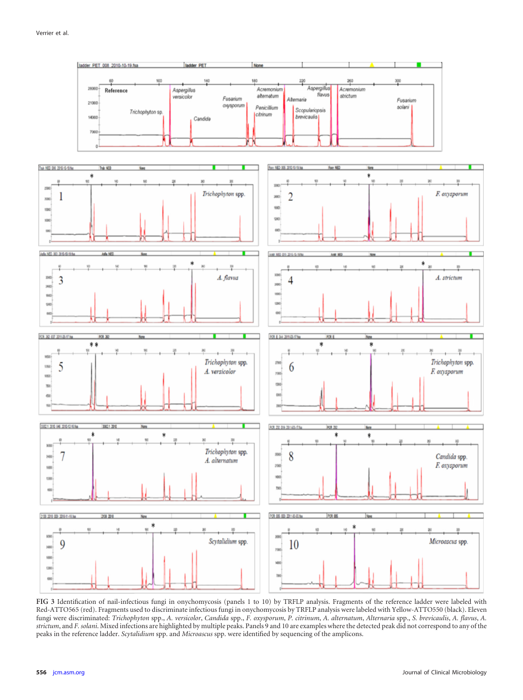

<span id="page-3-0"></span>**FIG 3** Identification of nail-infectious fungi in onychomycosis (panels 1 to 10) by TRFLP analysis. Fragments of the reference ladder were labeled with Red-ATTO565 (red). Fragments used to discriminate infectious fungi in onychomycosis by TRFLP analysis were labeled with Yellow-ATTO550 (black). Eleven fungi were discriminated: Trichophyton spp., A. versicolor, Candida spp., F. oxysporum, P. citrinum, A. alternatum, Alternaria spp., S. brevicaulis, A. flavus, A. *strictum*, and *F. solani*. Mixed infections are highlighted by multiple peaks. Panels 9 and 10 are examples where the detected peak did not correspond to any of the peaks in the reference ladder. *Scytalidium* spp. and *Microascus* spp. were identified by sequencing of the amplicons.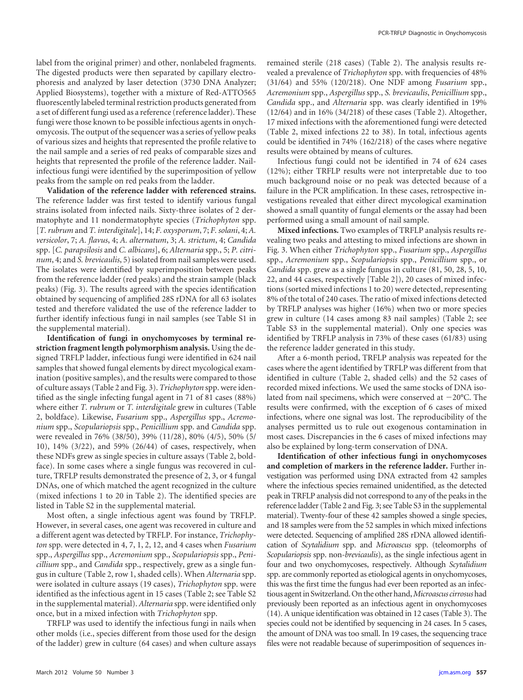label from the original primer) and other, nonlabeled fragments. The digested products were then separated by capillary electrophoresis and analyzed by laser detection (3730 DNA Analyzer; Applied Biosystems), together with a mixture of Red-ATTO565 fluorescently labeled terminal restriction products generated from a set of different fungi used as a reference (reference ladder). These fungi were those known to be possible infectious agents in onychomycosis. The output of the sequencer was a series of yellow peaks of various sizes and heights that represented the profile relative to the nail sample and a series of red peaks of comparable sizes and heights that represented the profile of the reference ladder. Nailinfectious fungi were identified by the superimposition of yellow peaks from the sample on red peaks from the ladder.

**Validation of the reference ladder with referenced strains.** The reference ladder was first tested to identify various fungal strains isolated from infected nails. Sixty-three isolates of 2 dermatophyte and 11 nondermatophyte species (*Trichophyton* spp. [*T. rubrum* and *T. interdigitale*], 14; *F. oxysporum*, 7; *F. solani*, 4; *A. versicolor*, 7; *A. flavus*, 4; *A. alternatum*, 3; *A. strictum*, 4; *Candida* spp. [*C. parapsilosis* and *C. albicans*], 6; *Alternaria* spp., 5; *P. citrinum*, 4; and *S. brevicaulis*, [5\)](#page-8-3) isolated from nail samples were used. The isolates were identified by superimposition between peaks from the reference ladder (red peaks) and the strain sample (black peaks) [\(Fig. 3\)](#page-3-0). The results agreed with the species identification obtained by sequencing of amplified 28S rDNA for all 63 isolates tested and therefore validated the use of the reference ladder to further identify infectious fungi in nail samples (see Table S1 in the supplemental material).

**Identification of fungi in onychomycoses by terminal restriction fragment length polymorphism analysis.** Using the designed TRFLP ladder, infectious fungi were identified in 624 nail samples that showed fungal elements by direct mycological examination (positive samples), and the results were compared to those of culture assays [\(Table 2](#page-5-0) and [Fig. 3\)](#page-3-0). *Trichophyton* spp. were identified as the single infecting fungal agent in 71 of 81 cases (88%) where either *T. rubrum* or *T. interdigitale* grew in cultures [\(Table](#page-5-0) [2, boldface\). Likewise,](#page-5-0) *Fusarium* spp., *Aspergillus* spp., *Acremonium* spp., *[Scopulariopsis](#page-5-0)* spp., *Penicillium* spp. and *Candida* spp. [were revealed in 76% \(38/50\), 39% \(11/28\), 80% \(4/5\), 50% \(5/](#page-5-0) [10\), 14% \(3/22\), and 59% \(26/44\) of cases, respectively, when](#page-5-0) these NDFs grew as single species in culture assays [\(Table 2,](#page-5-0) boldface). In some cases where a single fungus was recovered in culture, TRFLP results demonstrated the presence of 2, 3, or 4 fungal DNAs, one of which matched the agent recognized in the culture (mixed infections 1 to 20 in [Table 2\)](#page-5-0). The identified species are listed in Table S2 in the supplemental material.

Most often, a single infectious agent was found by TRFLP. However, in several cases, one agent was recovered in culture and a different agent was detected by TRFLP. For instance, *Trichophyton* spp. were detected in 4, 7, 1, 2, 12, and 4 cases when *Fusarium* spp., *Aspergillus* spp., *Acremonium* spp., *Scopulariopsis* spp., *Penicillium* spp., and *Candida* spp., respectively, grew as a single fungus in culture [\(Table 2,](#page-5-0) row 1, shaded cells). When *Alternaria* spp. were isolated in culture assays (19 cases), *Trichophyton* spp. were identified as the infectious agent in 15 cases [\(Table 2;](#page-5-0) see Table S2 in the supplemental material). *Alternaria* spp. were identified only once, but in a mixed infection with *Trichophyton* spp.

TRFLP was used to identify the infectious fungi in nails when other molds (i.e., species different from those used for the design of the ladder) grew in culture (64 cases) and when culture assays remained sterile (218 cases) [\(Table 2\)](#page-5-0). The analysis results revealed a prevalence of *Trichophyton* spp. with frequencies of 48% (31/64) and 55% (120/218). One NDF among *Fusarium* spp., *Acremonium* spp., *Aspergillus* spp., *S. brevicaulis*, *Penicillium* spp., *Candida* spp., and *Alternaria* spp. was clearly identified in 19% (12/64) and in 16% (34/218) of these cases [\(Table 2\)](#page-5-0). Altogether, 17 mixed infections with the aforementioned fungi were detected [\(Table 2,](#page-5-0) mixed infections 22 to 38). In total, infectious agents could be identified in 74% (162/218) of the cases where negative results were obtained by means of cultures.

Infectious fungi could not be identified in 74 of 624 cases (12%); either TRFLP results were not interpretable due to too much background noise or no peak was detected because of a failure in the PCR amplification. In these cases, retrospective investigations revealed that either direct mycological examination showed a small quantity of fungal elements or the assay had been performed using a small amount of nail sample.

**Mixed infections.** Two examples of TRFLP analysis results revealing two peaks and attesting to mixed infections are shown in [Fig. 3.](#page-3-0) When either *Trichophyton* spp., *Fusarium* spp., *Aspergillus* spp., *Acremonium* spp., *Scopulariopsis* spp., *Penicillium* spp., or *Candida* spp. grew as a single fungus in culture (81, 50, 28, 5, 10, 22, and 44 cases, respectively [\[Table 2\]](#page-5-0)), 20 cases of mixed infections (sorted mixed infections 1 to 20) were detected, representing 8% of the total of 240 cases. The ratio of mixed infections detected by TRFLP analyses was higher (16%) when two or more species grew in culture (14 cases among 83 nail samples) [\(Table 2;](#page-5-0) see Table S3 in the supplemental material). Only one species was identified by TRFLP analysis in 73% of these cases (61/83) using the reference ladder generated in this study.

After a 6-month period, TRFLP analysis was repeated for the cases where the agent identified by TRFLP was different from that identified in culture [\(Table 2,](#page-5-0) shaded cells) and the 52 cases of recorded mixed infections. We used the same stocks of DNA isolated from nail specimens, which were conserved at  $-20^{\circ}$ C. The results were confirmed, with the exception of 6 cases of mixed infections, where one signal was lost. The reproducibility of the analyses permitted us to rule out exogenous contamination in most cases. Discrepancies in the 6 cases of mixed infections may also be explained by long-term conservation of DNA.

**Identification of other infectious fungi in onychomycoses and completion of markers in the reference ladder.** Further investigation was performed using DNA extracted from 42 samples where the infectious species remained unidentified, as the detected peak in TRFLP analysis did not correspond to any of the peaks in the reference ladder [\(Table 2](#page-5-0) and [Fig. 3;](#page-3-0) see Table S3 in the supplemental material). Twenty-four of these 42 samples showed a single species, and 18 samples were from the 52 samples in which mixed infections were detected. Sequencing of amplified 28S rDNA allowed identification of *Scytalidium* spp. and *Microascus* spp. (teleomorphs of *Scopulariopsis* spp. non-*brevicaulis*), as the single infectious agent in four and two onychomycoses, respectively. Although *Scytalidium* spp. are commonly reported as etiological agents in onychomycoses, this was the first time the fungus had ever been reported as an infectious agentin Switzerland.On the other hand,*Microascus cirrosus*had previously been reported as an infectious agent in onychomycoses [\(14\)](#page-8-32). A unique identification was obtained in 12 cases [\(Table 3\)](#page-6-0). The species could not be identified by sequencing in 24 cases. In 5 cases, the amount of DNA was too small. In 19 cases, the sequencing trace files were not readable because of superimposition of sequences in-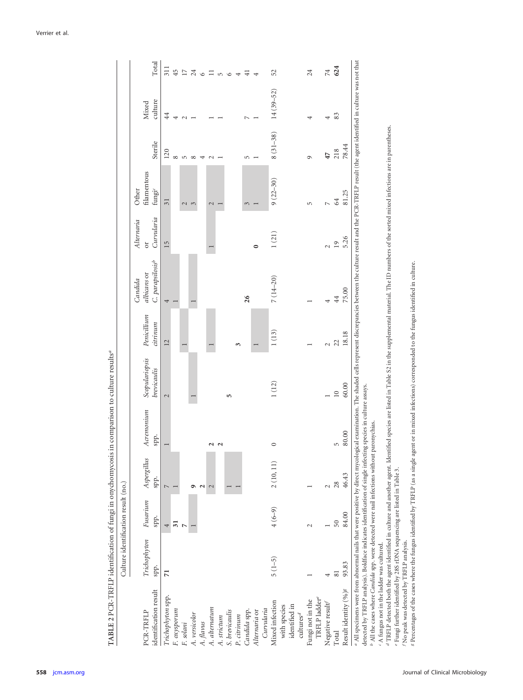|                                                                                                                                                                                                                                | Culture identification result (no.) |                  |                     |                         |                               |                         |                                                        |                                |                                            |              |                  |                 |
|--------------------------------------------------------------------------------------------------------------------------------------------------------------------------------------------------------------------------------|-------------------------------------|------------------|---------------------|-------------------------|-------------------------------|-------------------------|--------------------------------------------------------|--------------------------------|--------------------------------------------|--------------|------------------|-----------------|
| identification result<br>PCR-TRFLP                                                                                                                                                                                             | Trichophyton<br>spp.                | Fusarium<br>spp. | Aspergillus<br>spp. | Acremonium<br>spp.      | Scopulariopsis<br>brevicaulis | Penicillium<br>citrinum | C. parapsilosis <sup>b</sup><br>albicans or<br>Candida | Curvularia<br>Alternaria<br>öľ | filamentous<br>fungi <sup>c</sup><br>Other | Sterile      | culture<br>Mixed | Total           |
| Trichophyton spp.                                                                                                                                                                                                              | $\overline{z}$                      | 4                |                     |                         | $\sim$                        | 12                      | 4                                                      | 15                             | 31                                         | 120          | $\ddot{4}$       | 311             |
| $F$ . $o$ ху<ротит                                                                                                                                                                                                             |                                     | ಸ                |                     |                         |                               |                         |                                                        |                                |                                            | ∞            |                  | 45              |
| F. solani                                                                                                                                                                                                                      |                                     |                  |                     |                         |                               |                         |                                                        |                                | $\mathbf{C}$                               | $\sqrt{2}$   | $\epsilon$       | $\overline{17}$ |
| A. versicolor                                                                                                                                                                                                                  |                                     |                  |                     |                         |                               |                         |                                                        |                                | 3                                          | $\infty$     |                  | 24              |
| A. flavus                                                                                                                                                                                                                      |                                     |                  |                     |                         |                               |                         |                                                        |                                |                                            | 4            |                  | $\circ$         |
| A. alternatum                                                                                                                                                                                                                  |                                     |                  |                     | $\overline{\mathbf{c}}$ |                               |                         |                                                        |                                | $\mathcal{L}$                              | $\sim$       |                  | $\equiv$        |
| A. strictum                                                                                                                                                                                                                    |                                     |                  |                     | 2                       |                               |                         |                                                        |                                |                                            |              |                  | $\mathfrak{m}$  |
| S. brevicaulis                                                                                                                                                                                                                 |                                     |                  |                     |                         | S                             |                         |                                                        |                                |                                            |              |                  | $\circ$         |
| P. citrinum                                                                                                                                                                                                                    |                                     |                  |                     |                         |                               | 3                       |                                                        |                                |                                            |              |                  |                 |
| Candida spp.                                                                                                                                                                                                                   |                                     |                  |                     |                         |                               |                         | 26                                                     |                                | $\mathfrak{g}$                             | 5            | г                | ⋥               |
| Alternaria or                                                                                                                                                                                                                  |                                     |                  |                     |                         |                               |                         |                                                        | $\circ$                        |                                            |              |                  |                 |
| Curvularia                                                                                                                                                                                                                     |                                     |                  |                     |                         |                               |                         |                                                        |                                |                                            |              |                  |                 |
| Mixed infection                                                                                                                                                                                                                | $5(1-5)$                            | $4(6-9)$         | 2(10, 11)           | $\circ$                 | $1\ (12)$                     | 1(13)                   | $7(14-20)$                                             | 1(21)                          | $9(22 - 30)$                               | $8(31 - 38)$ | $14(39 - 52)$    | 52              |
| with species                                                                                                                                                                                                                   |                                     |                  |                     |                         |                               |                         |                                                        |                                |                                            |              |                  |                 |
| identified in                                                                                                                                                                                                                  |                                     |                  |                     |                         |                               |                         |                                                        |                                |                                            |              |                  |                 |
| cultures <sup>d</sup>                                                                                                                                                                                                          |                                     |                  |                     |                         |                               |                         |                                                        |                                |                                            |              |                  |                 |
| TRFLP ladder <sup>e</sup><br>Fungi not in the                                                                                                                                                                                  |                                     |                  |                     |                         |                               |                         |                                                        |                                | 5                                          | Ò            |                  | 24              |
| Negative result                                                                                                                                                                                                                |                                     |                  |                     |                         |                               | $\sim$                  |                                                        | $\sim$                         | $\overline{ }$                             | 47           | 4                | 74              |
| Total                                                                                                                                                                                                                          | $\overline{8}$                      | 50               | 28                  | $\sqrt{2}$              | $\overline{a}$                | $\frac{22}{18.18}$      | 44                                                     | $\overline{19}$                | 64                                         | 218          | 83               | 624             |
| Result identity (%) <sup>g</sup>                                                                                                                                                                                               | 93.83                               | 84.00            | 46.43               | 80.00                   | 60.00                         |                         | 75.00                                                  | 5.26                           | 81.25                                      | 78.44        |                  |                 |
| a All specimens were from abnormal nails that were positive by direct mycological examination. The shaded cells represent discrepancies between the culture result and the PCR-TRFLP result (the agent identified in culture w |                                     |                  |                     |                         |                               |                         |                                                        |                                |                                            |              |                  |                 |
| detected by TRFLP analysis). Boldface indicates identification of single infecting species in culture assays.                                                                                                                  |                                     |                  |                     |                         |                               |                         |                                                        |                                |                                            |              |                  |                 |
| <sup>b</sup> All the cases where <i>Candida</i> spp. were detected were nail infections without paronychias.                                                                                                                   |                                     |                  |                     |                         |                               |                         |                                                        |                                |                                            |              |                  |                 |
| " A fungus not in the ladder was cultured.                                                                                                                                                                                     |                                     |                  |                     |                         |                               |                         |                                                        |                                |                                            |              |                  |                 |

TABLE 2 PCR-TRFLP identification of fungi in onychomycosis in comparison to culture results<sup>a</sup> **TABLE 2** PCR-TRFLP identification of fungi in onychomycosis in comparison to culture results*a*

<span id="page-5-0"></span>

**558** [jcm.asm.org](http://jcm.asm.org) Journal of Clinical Microbiology

TRFLP detected both the agent identified in culture and another agent. Identified species are listed in Table S2 in the supplemental material. The ID numbers of the sorted mixed infections are in parentheses.

*de*

Fungi further identified by 28S rDNA sequencing are listed in Table 3.

*f* No peak was detected by TRFLP analysis.

*g* Percentages of the cases where the fungus identified by TRFLP (as a single agent or in mixed infections) corresponded to the fungus identified in culture.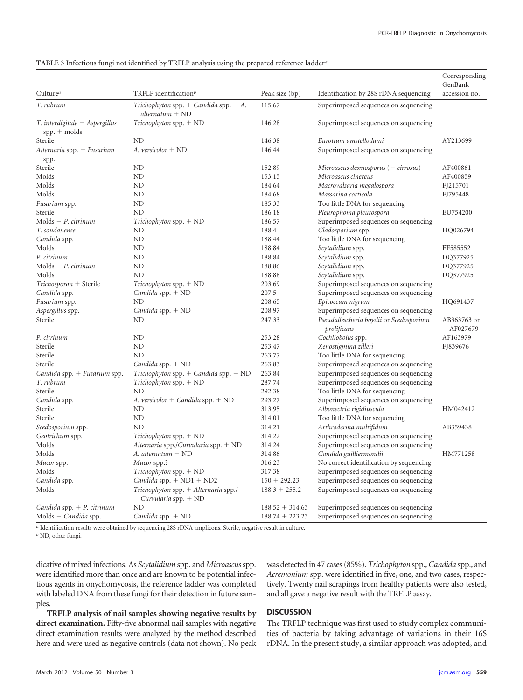#### <span id="page-6-0"></span>**TABLE 3** Infectious fungi not identified by TRFLP analysis using the prepared reference ladder*<sup>a</sup>*

|                                                  |                                                                |                   |                                                        | Corresponding<br>GenBank |
|--------------------------------------------------|----------------------------------------------------------------|-------------------|--------------------------------------------------------|--------------------------|
| Culture <sup>a</sup>                             | TRFLP identification <sup>b</sup>                              | Peak size (bp)    | Identification by 28S rDNA sequencing                  | accession no.            |
| T. rubrum                                        | Trichophyton spp. $+$ Candida spp. $+$ A.<br>$alternatum + ND$ | 115.67            | Superimposed sequences on sequencing                   |                          |
| T. interdigitale + Aspergillus<br>$spp. +$ molds | $Trichophy$ ton spp. $+$ ND                                    | 146.28            | Superimposed sequences on sequencing                   |                          |
| Sterile                                          | ND.                                                            | 146.38            | Eurotium amstellodami                                  | AY213699                 |
| Alternaria spp. + Fusarium<br>spp.               | A. versicolor + ND                                             | 146.44            | Superimposed sequences on sequencing                   |                          |
| Sterile                                          | ND                                                             | 152.89            | Microascus desmosporus (= cirrosus)                    | AF400861                 |
| Molds                                            | ND                                                             | 153.15            | Microascus cinereus                                    | AF400859                 |
| Molds                                            | ND                                                             | 184.64            | Macrovalsaria megalospora                              | FJ215701                 |
| Molds                                            | ND                                                             | 184.68            | Massarina corticola                                    | FJ795448                 |
| Fusarium spp.                                    | ND                                                             | 185.33            | Too little DNA for sequencing                          |                          |
| Sterile                                          | ND                                                             | 186.18            | Pleurophoma pleurospora                                | EU754200                 |
| $\text{Molds} + \text{P.}$ citrinum              | $Trichophy$ ton spp. $+$ ND                                    | 186.57            | Superimposed sequences on sequencing                   |                          |
| T. soudanense                                    | ND                                                             | 188.4             | Cladosporium spp.                                      | HQ026794                 |
| Candida spp.                                     | ND                                                             | 188.44            | Too little DNA for sequencing                          |                          |
| Molds                                            | ND                                                             | 188.84            | Scytalidium spp.                                       | EF585552                 |
| P. citrinum                                      | ND                                                             | 188.84            | Scytalidium spp.                                       | DQ377925                 |
| $Molds + P.$ citrinum                            | ND                                                             | 188.86            | Scytalidium spp.                                       | DO377925                 |
| Molds                                            | ND                                                             | 188.88            | Scytalidium spp.                                       | DQ377925                 |
| Trichosporon + Sterile                           | $Trichophy$ ton spp. $+$ ND                                    | 203.69            | Superimposed sequences on sequencing                   |                          |
| Candida spp.                                     | Candida spp. $+$ ND                                            | 207.5             | Superimposed sequences on sequencing                   |                          |
| Fusarium spp.                                    | ND                                                             | 208.65            | Epicoccum nigrum                                       | HQ691437                 |
| Aspergillus spp.                                 | Candida spp. $+$ ND                                            | 208.97            | Superimposed sequences on sequencing                   |                          |
| Sterile                                          | ND                                                             | 247.33            | Pseudallescheria boydii or Scedosporium<br>prolificans | AB363763 or<br>AF027679  |
| P. citrinum                                      | ND                                                             | 253.28            | Cochliobolus spp.                                      | AF163979                 |
| Sterile                                          | ND                                                             | 253.47            | Xenostigmina zilleri                                   | FJ839676                 |
| Sterile                                          | ND                                                             | 263.77            | Too little DNA for sequencing                          |                          |
| Sterile                                          | Candida spp. $+$ ND                                            | 263.83            | Superimposed sequences on sequencing                   |                          |
| Candida spp. $+$ Fusarium spp.                   | Trichophyton spp. $+$ Candida spp. $+$ ND                      | 263.84            | Superimposed sequences on sequencing                   |                          |
| T. rubrum                                        | $Trichophy$ ton spp. $+$ ND                                    | 287.74            | Superimposed sequences on sequencing                   |                          |
| Sterile                                          | ND                                                             | 292.38            | Too little DNA for sequencing                          |                          |
| Candida spp.                                     | A. versicolor + Candida spp. $+$ ND                            | 293.27            | Superimposed sequences on sequencing                   |                          |
| Sterile                                          | ND                                                             | 313.95            | Albonectria rigidiuscula                               | HM042412                 |
| Sterile                                          | ND                                                             | 314.01            | Too little DNA for sequencing                          |                          |
| Scedosporium spp.                                | ND                                                             | 314.21            | Arthroderma multifidum                                 | AB359438                 |
| Geotrichum spp.                                  | $Trichophy$ ton spp. $+$ ND                                    | 314.22            | Superimposed sequences on sequencing                   |                          |
| Molds                                            | Alternaria spp./Curvularia spp. + ND                           | 314.24            | Superimposed sequences on sequencing                   |                          |
| Molds                                            | A. alternatum + ND                                             | 314.86            | Candida guilliermondii                                 | HM771258                 |
| Mucor spp.                                       | Mucor spp.?                                                    | 316.23            | No correct identification by sequencing                |                          |
| Molds                                            | $Trichophy$ ton spp. $+$ ND                                    | 317.38            | Superimposed sequences on sequencing                   |                          |
| Candida spp.                                     | Candida spp. $+$ ND1 $+$ ND2                                   | $150 + 292.23$    | Superimposed sequences on sequencing                   |                          |
| Molds                                            | Trichophyton spp. + Alternaria spp./                           | $188.3 + 255.2$   | Superimposed sequences on sequencing                   |                          |
|                                                  | Curvularia spp. $+$ ND                                         |                   |                                                        |                          |
| Candida spp. $+$ P. citrinum                     | ND                                                             | $188.52 + 314.63$ | Superimposed sequences on sequencing                   |                          |
| $\text{Molds} + \text{Candida spp.}$             | Candida spp. $+$ ND                                            | $188.74 + 223.23$ | Superimposed sequences on sequencing                   |                          |

*a* Identification results were obtained by sequencing 28S rDNA amplicons. Sterile, negative result in culture.

*b* ND, other fungi.

dicative of mixed infections. As *Scytalidium* spp. and *Microascus*spp. were identified more than once and are known to be potential infectious agents in onychomycosis, the reference ladder was completed with labeled DNA from these fungi for their detection in future samples.

**TRFLP analysis of nail samples showing negative results by direct examination.** Fifty-five abnormal nail samples with negative direct examination results were analyzed by the method described here and were used as negative controls (data not shown). No peak

was detected in 47 cases (85%). *Trichophyton* spp.,*Candida* spp., and *Acremonium* spp. were identified in five, one, and two cases, respectively. Twenty nail scrapings from healthy patients were also tested, and all gave a negative result with the TRFLP assay.

## **DISCUSSION**

The TRFLP technique was first used to study complex communities of bacteria by taking advantage of variations in their 16S rDNA. In the present study, a similar approach was adopted, and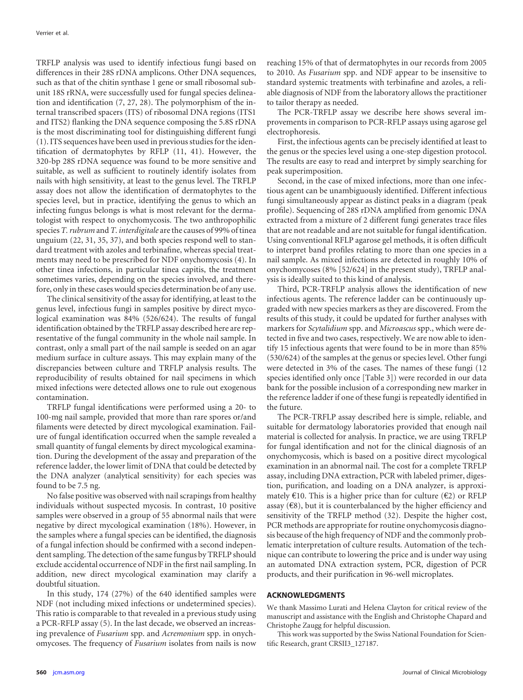TRFLP analysis was used to identify infectious fungi based on differences in their 28S rDNA amplicons. Other DNA sequences, such as that of the chitin synthase 1 gene or small ribosomal subunit 18S rRNA, were successfully used for fungal species delineation and identification [\(7,](#page-8-33) [27,](#page-8-16) [28\)](#page-8-34). The polymorphism of the internal transcribed spacers (ITS) of ribosomal DNA regions (ITS1 and ITS2) flanking the DNA sequence composing the 5.8S rDNA is the most discriminating tool for distinguishing different fungi [\(1\)](#page-8-7). ITS sequences have been used in previous studies for the identification of dermatophytes by RFLP [\(11,](#page-8-35) [41\)](#page-8-36). However, the 320-bp 28S rDNA sequence was found to be more sensitive and suitable, as well as sufficient to routinely identify isolates from nails with high sensitivity, at least to the genus level. The TRFLP assay does not allow the identification of dermatophytes to the species level, but in practice, identifying the genus to which an infecting fungus belongs is what is most relevant for the dermatologist with respect to onychomycosis. The two anthropophilic species *T. rubrum*and *T. interdigitale* are the causes of 99% of tinea unguium [\(22,](#page-8-37) [31,](#page-8-38) [35,](#page-8-39) [37\)](#page-8-40), and both species respond well to standard treatment with azoles and terbinafine, whereas special treatments may need to be prescribed for NDF onychomycosis [\(4\)](#page-8-5). In other tinea infections, in particular tinea capitis, the treatment sometimes varies, depending on the species involved, and therefore, only in these cases would species determination be of any use.

The clinical sensitivity of the assay for identifying, at least to the genus level, infectious fungi in samples positive by direct mycological examination was 84% (526/624). The results of fungal identification obtained by the TRFLP assay described here are representative of the fungal community in the whole nail sample. In contrast, only a small part of the nail sample is seeded on an agar medium surface in culture assays. This may explain many of the discrepancies between culture and TRFLP analysis results. The reproducibility of results obtained for nail specimens in which mixed infections were detected allows one to rule out exogenous contamination.

TRFLP fungal identifications were performed using a 20- to 100-mg nail sample, provided that more than rare spores or/and filaments were detected by direct mycological examination. Failure of fungal identification occurred when the sample revealed a small quantity of fungal elements by direct mycological examination. During the development of the assay and preparation of the reference ladder, the lower limit of DNA that could be detected by the DNA analyzer (analytical sensitivity) for each species was found to be 7.5 ng.

No false positive was observed with nail scrapings from healthy individuals without suspected mycosis. In contrast, 10 positive samples were observed in a group of 55 abnormal nails that were negative by direct mycological examination (18%). However, in the samples where a fungal species can be identified, the diagnosis of a fungal infection should be confirmed with a second independent sampling. The detection of the same fungus by TRFLP should exclude accidental occurrence of NDF in the first nail sampling. In addition, new direct mycological examination may clarify a doubtful situation.

In this study, 174 (27%) of the 640 identified samples were NDF (not including mixed infections or undetermined species). This ratio is comparable to that revealed in a previous study using a PCR-RFLP assay [\(5\)](#page-8-3). In the last decade, we observed an increasing prevalence of *Fusarium* spp. and *Acremonium* spp. in onychomycoses. The frequency of *Fusarium* isolates from nails is now

reaching 15% of that of dermatophytes in our records from 2005 to 2010. As *Fusarium* spp. and NDF appear to be insensitive to standard systemic treatments with terbinafine and azoles, a reliable diagnosis of NDF from the laboratory allows the practitioner to tailor therapy as needed.

The PCR-TRFLP assay we describe here shows several improvements in comparison to PCR-RFLP assays using agarose gel electrophoresis.

First, the infectious agents can be precisely identified at least to the genus or the species level using a one-step digestion protocol. The results are easy to read and interpret by simply searching for peak superimposition.

Second, in the case of mixed infections, more than one infectious agent can be unambiguously identified. Different infectious fungi simultaneously appear as distinct peaks in a diagram (peak profile). Sequencing of 28S rDNA amplified from genomic DNA extracted from a mixture of 2 different fungi generates trace files that are not readable and are not suitable for fungal identification. Using conventional RFLP agarose gel methods, it is often difficult to interpret band profiles relating to more than one species in a nail sample. As mixed infections are detected in roughly 10% of onychomycoses (8% [52/624] in the present study), TRFLP analysis is ideally suited to this kind of analysis.

Third, PCR-TRFLP analysis allows the identification of new infectious agents. The reference ladder can be continuously upgraded with new species markers as they are discovered. From the results of this study, it could be updated for further analyses with markers for *Scytalidium* spp. and *Microascus* spp., which were detected in five and two cases, respectively. We are now able to identify 15 infectious agents that were found to be in more than 85% (530/624) of the samples at the genus or species level. Other fungi were detected in 3% of the cases. The names of these fungi (12 species identified only once [\[Table 3\]](#page-6-0)) were recorded in our data bank for the possible inclusion of a corresponding new marker in the reference ladder if one of these fungi is repeatedly identified in the future.

The PCR-TRFLP assay described here is simple, reliable, and suitable for dermatology laboratories provided that enough nail material is collected for analysis. In practice, we are using TRFLP for fungal identification and not for the clinical diagnosis of an onychomycosis, which is based on a positive direct mycological examination in an abnormal nail. The cost for a complete TRFLP assay, including DNA extraction, PCR with labeled primer, digestion, purification, and loading on a DNA analyzer, is approximately  $\epsilon$ 10. This is a higher price than for culture ( $\epsilon$ 2) or RFLP assay  $(68)$ , but it is counterbalanced by the higher efficiency and sensitivity of the TRFLP method [\(32\)](#page-8-4). Despite the higher cost, PCR methods are appropriate for routine onychomycosis diagnosis because of the high frequency of NDF and the commonly problematic interpretation of culture results. Automation of the technique can contribute to lowering the price and is under way using an automated DNA extraction system, PCR, digestion of PCR products, and their purification in 96-well microplates.

### **ACKNOWLEDGMENTS**

We thank Massimo Lurati and Helena Clayton for critical review of the manuscript and assistance with the English and Christophe Chapard and Christophe Zaugg for helpful discussion.

This work was supported by the Swiss National Foundation for Scientific Research, grant CRSII3\_127187.